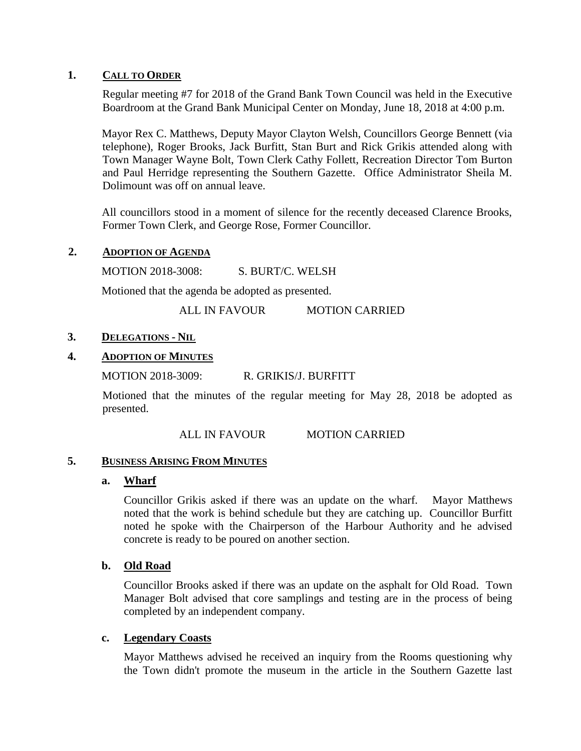#### **1. CALL TO ORDER**

Regular meeting #7 for 2018 of the Grand Bank Town Council was held in the Executive Boardroom at the Grand Bank Municipal Center on Monday, June 18, 2018 at 4:00 p.m.

Mayor Rex C. Matthews, Deputy Mayor Clayton Welsh, Councillors George Bennett (via telephone), Roger Brooks, Jack Burfitt, Stan Burt and Rick Grikis attended along with Town Manager Wayne Bolt, Town Clerk Cathy Follett, Recreation Director Tom Burton and Paul Herridge representing the Southern Gazette. Office Administrator Sheila M. Dolimount was off on annual leave.

All councillors stood in a moment of silence for the recently deceased Clarence Brooks, Former Town Clerk, and George Rose, Former Councillor.

#### **2. ADOPTION OF AGENDA**

MOTION 2018-3008: S. BURT/C. WELSH

Motioned that the agenda be adopted as presented.

ALL IN FAVOUR MOTION CARRIED

# **3. DELEGATIONS - NIL**

# **4. ADOPTION OF MINUTES**

MOTION 2018-3009: R. GRIKIS/J. BURFITT

Motioned that the minutes of the regular meeting for May 28, 2018 be adopted as presented.

#### ALL IN FAVOUR MOTION CARRIED

#### **5. BUSINESS ARISING FROM MINUTES**

#### **a. Wharf**

Councillor Grikis asked if there was an update on the wharf. Mayor Matthews noted that the work is behind schedule but they are catching up. Councillor Burfitt noted he spoke with the Chairperson of the Harbour Authority and he advised concrete is ready to be poured on another section.

#### **b. Old Road**

Councillor Brooks asked if there was an update on the asphalt for Old Road. Town Manager Bolt advised that core samplings and testing are in the process of being completed by an independent company.

#### **c. Legendary Coasts**

Mayor Matthews advised he received an inquiry from the Rooms questioning why the Town didn't promote the museum in the article in the Southern Gazette last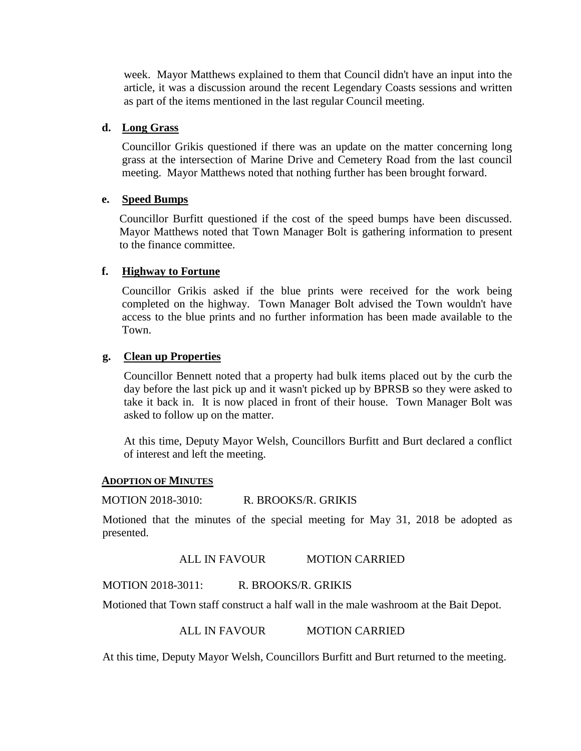week. Mayor Matthews explained to them that Council didn't have an input into the article, it was a discussion around the recent Legendary Coasts sessions and written as part of the items mentioned in the last regular Council meeting.

### **d. Long Grass**

Councillor Grikis questioned if there was an update on the matter concerning long grass at the intersection of Marine Drive and Cemetery Road from the last council meeting. Mayor Matthews noted that nothing further has been brought forward.

#### **e. Speed Bumps**

Councillor Burfitt questioned if the cost of the speed bumps have been discussed. Mayor Matthews noted that Town Manager Bolt is gathering information to present to the finance committee.

# **f. Highway to Fortune**

Councillor Grikis asked if the blue prints were received for the work being completed on the highway. Town Manager Bolt advised the Town wouldn't have access to the blue prints and no further information has been made available to the Town.

# **g. Clean up Properties**

Councillor Bennett noted that a property had bulk items placed out by the curb the day before the last pick up and it wasn't picked up by BPRSB so they were asked to take it back in. It is now placed in front of their house. Town Manager Bolt was asked to follow up on the matter.

At this time, Deputy Mayor Welsh, Councillors Burfitt and Burt declared a conflict of interest and left the meeting.

#### **ADOPTION OF MINUTES**

MOTION 2018-3010: R. BROOKS/R. GRIKIS

Motioned that the minutes of the special meeting for May 31, 2018 be adopted as presented.

#### ALL IN FAVOUR MOTION CARRIED

MOTION 2018-3011: R. BROOKS/R. GRIKIS

Motioned that Town staff construct a half wall in the male washroom at the Bait Depot.

# ALL IN FAVOUR MOTION CARRIED

At this time, Deputy Mayor Welsh, Councillors Burfitt and Burt returned to the meeting.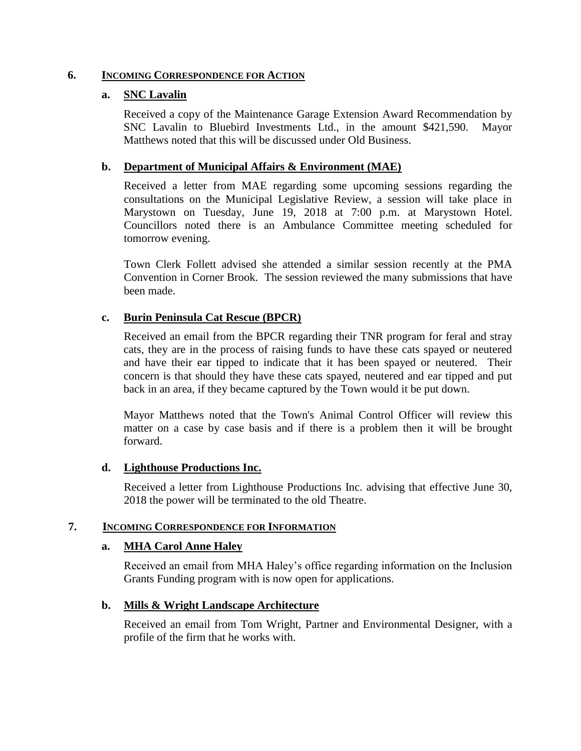#### **6. INCOMING CORRESPONDENCE FOR ACTION**

#### **a. SNC Lavalin**

Received a copy of the Maintenance Garage Extension Award Recommendation by SNC Lavalin to Bluebird Investments Ltd., in the amount \$421,590. Mayor Matthews noted that this will be discussed under Old Business.

# **b. Department of Municipal Affairs & Environment (MAE)**

Received a letter from MAE regarding some upcoming sessions regarding the consultations on the Municipal Legislative Review, a session will take place in Marystown on Tuesday, June 19, 2018 at 7:00 p.m. at Marystown Hotel. Councillors noted there is an Ambulance Committee meeting scheduled for tomorrow evening.

Town Clerk Follett advised she attended a similar session recently at the PMA Convention in Corner Brook. The session reviewed the many submissions that have been made.

# **c. Burin Peninsula Cat Rescue (BPCR)**

Received an email from the BPCR regarding their TNR program for feral and stray cats, they are in the process of raising funds to have these cats spayed or neutered and have their ear tipped to indicate that it has been spayed or neutered. Their concern is that should they have these cats spayed, neutered and ear tipped and put back in an area, if they became captured by the Town would it be put down.

Mayor Matthews noted that the Town's Animal Control Officer will review this matter on a case by case basis and if there is a problem then it will be brought forward.

#### **d. Lighthouse Productions Inc.**

Received a letter from Lighthouse Productions Inc. advising that effective June 30, 2018 the power will be terminated to the old Theatre.

### **7. INCOMING CORRESPONDENCE FOR INFORMATION**

#### **a. MHA Carol Anne Haley**

Received an email from MHA Haley's office regarding information on the Inclusion Grants Funding program with is now open for applications.

# **b. Mills & Wright Landscape Architecture**

Received an email from Tom Wright, Partner and Environmental Designer, with a profile of the firm that he works with.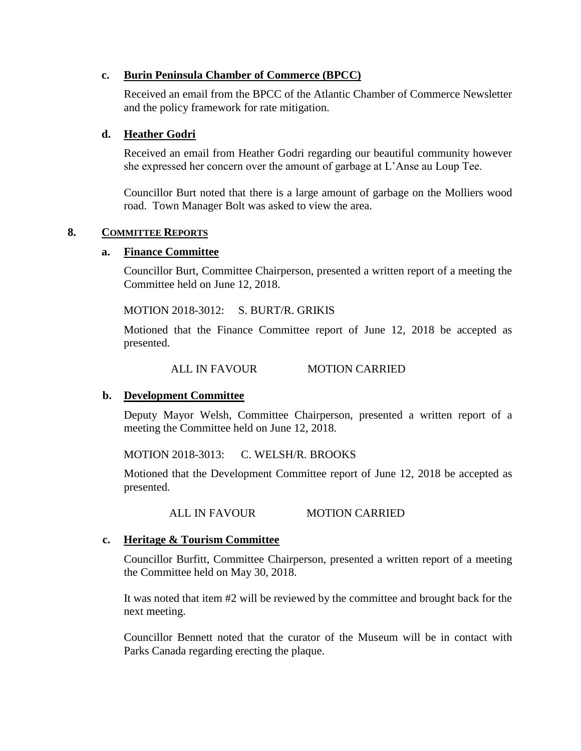### **c. Burin Peninsula Chamber of Commerce (BPCC)**

Received an email from the BPCC of the Atlantic Chamber of Commerce Newsletter and the policy framework for rate mitigation.

# **d. Heather Godri**

Received an email from Heather Godri regarding our beautiful community however she expressed her concern over the amount of garbage at L'Anse au Loup Tee.

Councillor Burt noted that there is a large amount of garbage on the Molliers wood road. Town Manager Bolt was asked to view the area.

#### **8. COMMITTEE REPORTS**

#### **a. Finance Committee**

Councillor Burt, Committee Chairperson, presented a written report of a meeting the Committee held on June 12, 2018.

MOTION 2018-3012: S. BURT/R. GRIKIS

Motioned that the Finance Committee report of June 12, 2018 be accepted as presented.

ALL IN FAVOUR MOTION CARRIED

#### **b. Development Committee**

Deputy Mayor Welsh, Committee Chairperson, presented a written report of a meeting the Committee held on June 12, 2018.

MOTION 2018-3013: C. WELSH/R. BROOKS

Motioned that the Development Committee report of June 12, 2018 be accepted as presented.

ALL IN FAVOUR MOTION CARRIED

#### **c. Heritage & Tourism Committee**

Councillor Burfitt, Committee Chairperson, presented a written report of a meeting the Committee held on May 30, 2018.

It was noted that item #2 will be reviewed by the committee and brought back for the next meeting.

Councillor Bennett noted that the curator of the Museum will be in contact with Parks Canada regarding erecting the plaque.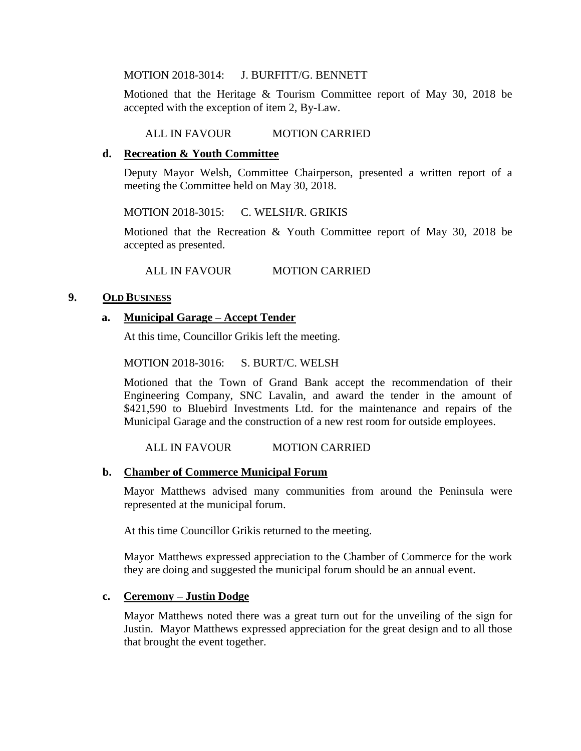MOTION 2018-3014: J. BURFITT/G. BENNETT

Motioned that the Heritage & Tourism Committee report of May 30, 2018 be accepted with the exception of item 2, By-Law.

#### ALL IN FAVOUR MOTION CARRIED

### **d. Recreation & Youth Committee**

Deputy Mayor Welsh, Committee Chairperson, presented a written report of a meeting the Committee held on May 30, 2018.

MOTION 2018-3015: C. WELSH/R. GRIKIS

Motioned that the Recreation & Youth Committee report of May 30, 2018 be accepted as presented.

ALL IN FAVOUR MOTION CARRIED

#### **9. OLD BUSINESS**

# **a. Municipal Garage – Accept Tender**

At this time, Councillor Grikis left the meeting.

MOTION 2018-3016: S. BURT/C. WELSH

Motioned that the Town of Grand Bank accept the recommendation of their Engineering Company, SNC Lavalin, and award the tender in the amount of \$421,590 to Bluebird Investments Ltd. for the maintenance and repairs of the Municipal Garage and the construction of a new rest room for outside employees.

ALL IN FAVOUR MOTION CARRIED

#### **b. Chamber of Commerce Municipal Forum**

Mayor Matthews advised many communities from around the Peninsula were represented at the municipal forum.

At this time Councillor Grikis returned to the meeting.

Mayor Matthews expressed appreciation to the Chamber of Commerce for the work they are doing and suggested the municipal forum should be an annual event.

#### **c. Ceremony – Justin Dodge**

Mayor Matthews noted there was a great turn out for the unveiling of the sign for Justin. Mayor Matthews expressed appreciation for the great design and to all those that brought the event together.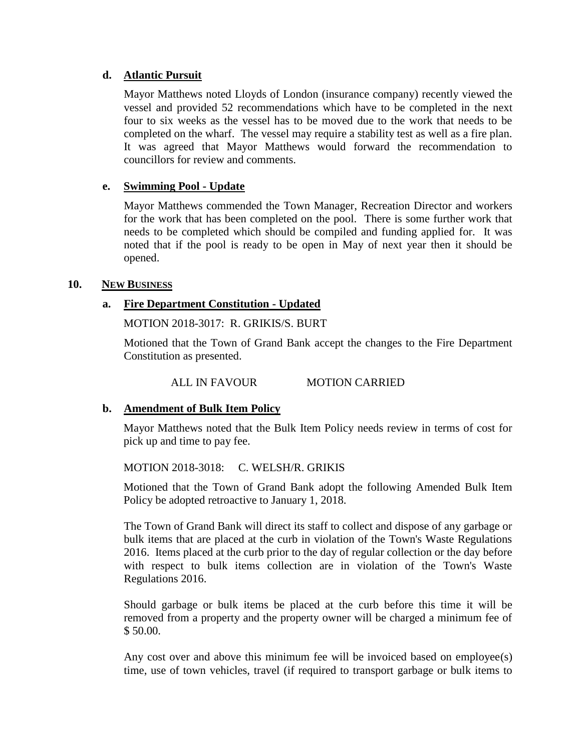### **d. Atlantic Pursuit**

Mayor Matthews noted Lloyds of London (insurance company) recently viewed the vessel and provided 52 recommendations which have to be completed in the next four to six weeks as the vessel has to be moved due to the work that needs to be completed on the wharf. The vessel may require a stability test as well as a fire plan. It was agreed that Mayor Matthews would forward the recommendation to councillors for review and comments.

# **e. Swimming Pool - Update**

Mayor Matthews commended the Town Manager, Recreation Director and workers for the work that has been completed on the pool. There is some further work that needs to be completed which should be compiled and funding applied for. It was noted that if the pool is ready to be open in May of next year then it should be opened.

# **10. NEW BUSINESS**

# **a. Fire Department Constitution - Updated**

MOTION 2018-3017: R. GRIKIS/S. BURT

Motioned that the Town of Grand Bank accept the changes to the Fire Department Constitution as presented.

# ALL IN FAVOUR MOTION CARRIED

#### **b. Amendment of Bulk Item Policy**

Mayor Matthews noted that the Bulk Item Policy needs review in terms of cost for pick up and time to pay fee.

#### MOTION 2018-3018: C. WELSH/R. GRIKIS

Motioned that the Town of Grand Bank adopt the following Amended Bulk Item Policy be adopted retroactive to January 1, 2018.

The Town of Grand Bank will direct its staff to collect and dispose of any garbage or bulk items that are placed at the curb in violation of the Town's Waste Regulations 2016. Items placed at the curb prior to the day of regular collection or the day before with respect to bulk items collection are in violation of the Town's Waste Regulations 2016.

Should garbage or bulk items be placed at the curb before this time it will be removed from a property and the property owner will be charged a minimum fee of \$ 50.00.

Any cost over and above this minimum fee will be invoiced based on employee(s) time, use of town vehicles, travel (if required to transport garbage or bulk items to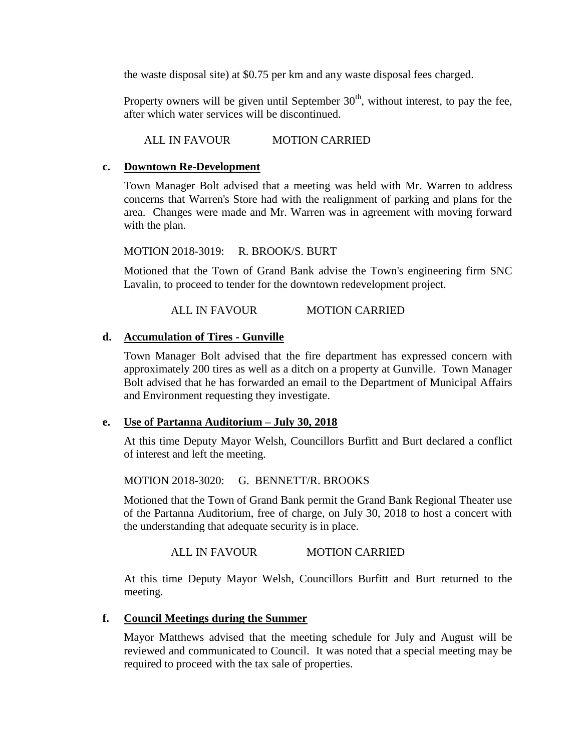the waste disposal site) at \$0.75 per km and any waste disposal fees charged.

Property owners will be given until September  $30<sup>th</sup>$ , without interest, to pay the fee, after which water services will be discontinued.

ALL IN FAVOUR MOTION CARRIED

# **c. Downtown Re-Development**

Town Manager Bolt advised that a meeting was held with Mr. Warren to address concerns that Warren's Store had with the realignment of parking and plans for the area. Changes were made and Mr. Warren was in agreement with moving forward with the plan.

MOTION 2018-3019: R. BROOK/S. BURT

Motioned that the Town of Grand Bank advise the Town's engineering firm SNC Lavalin, to proceed to tender for the downtown redevelopment project.

ALL IN FAVOUR MOTION CARRIED

# **d. Accumulation of Tires - Gunville**

Town Manager Bolt advised that the fire department has expressed concern with approximately 200 tires as well as a ditch on a property at Gunville. Town Manager Bolt advised that he has forwarded an email to the Department of Municipal Affairs and Environment requesting they investigate.

#### **e. Use of Partanna Auditorium – July 30, 2018**

At this time Deputy Mayor Welsh, Councillors Burfitt and Burt declared a conflict of interest and left the meeting.

MOTION 2018-3020: G. BENNETT/R. BROOKS

Motioned that the Town of Grand Bank permit the Grand Bank Regional Theater use of the Partanna Auditorium, free of charge, on July 30, 2018 to host a concert with the understanding that adequate security is in place.

ALL IN FAVOUR MOTION CARRIED

At this time Deputy Mayor Welsh, Councillors Burfitt and Burt returned to the meeting.

#### **f. Council Meetings during the Summer**

Mayor Matthews advised that the meeting schedule for July and August will be reviewed and communicated to Council. It was noted that a special meeting may be required to proceed with the tax sale of properties.